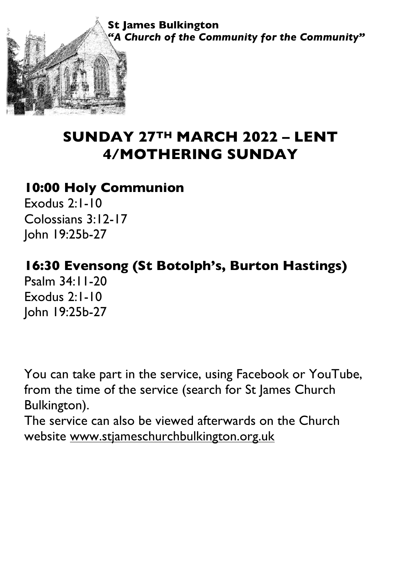**St James Bulkington** *"A Church of the Community for the Community"*

# **SUNDAY 27TH MARCH 2022 – LENT 4/MOTHERING SUNDAY**

## **10:00 Holy Communion**

Exodus 2:1-10 Colossians 3:12-17 John 19:25b-27

®®

## **16:30 Evensong (St Botolph's, Burton Hastings)**

Psalm 34:11-20 Exodus 2:1-10 John 19:25b-27

You can take part in the service, using Facebook or YouTube, from the time of the service (search for St James Church Bulkington).

The service can also be viewed afterwards on the Church website www.stjameschurchbulkington.org.uk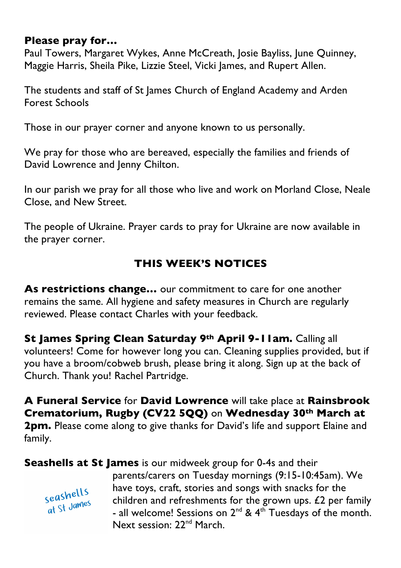#### **Please pray for…**

Paul Towers, Margaret Wykes, Anne McCreath, Josie Bayliss, June Quinney, Maggie Harris, Sheila Pike, Lizzie Steel, Vicki James, and Rupert Allen.

The students and staff of St James Church of England Academy and Arden Forest Schools

Those in our prayer corner and anyone known to us personally.

We pray for those who are bereaved, especially the families and friends of David Lowrence and Jenny Chilton.

In our parish we pray for all those who live and work on Morland Close, Neale Close, and New Street.

The people of Ukraine. Prayer cards to pray for Ukraine are now available in the prayer corner.

### **THIS WEEK'S NOTICES**

**As restrictions change…** our commitment to care for one another remains the same. All hygiene and safety measures in Church are regularly reviewed. Please contact Charles with your feedback.

**St James Spring Clean Saturday 9th April 9-11am.** Calling all volunteers! Come for however long you can. Cleaning supplies provided, but if you have a broom/cobweb brush, please bring it along. Sign up at the back of Church. Thank you! Rachel Partridge.

**A Funeral Service** for **David Lowrence** will take place at **Rainsbrook Crematorium, Rugby (CV22 5QQ)** on **Wednesday 30th March at 2pm.** Please come along to give thanks for David's life and support Elaine and family.

**Seashells at St James** is our midweek group for 0-4s and their



parents/carers on Tuesday mornings (9:15-10:45am). We have toys, craft, stories and songs with snacks for the children and refreshments for the grown ups. £2 per family - all welcome! Sessions on  $2^{nd}$  &  $4^{th}$  Tuesdays of the month. Next session: 22<sup>nd</sup> March.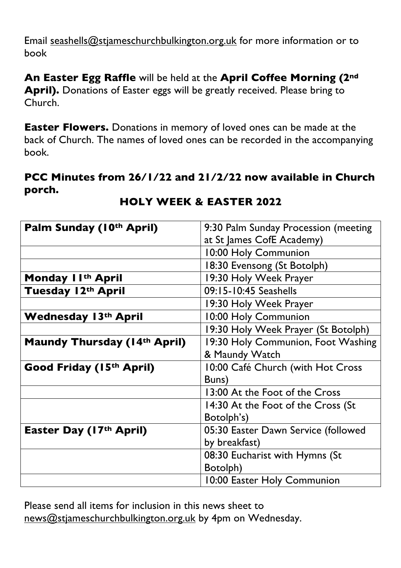Email seashells@stjameschurchbulkington.org.uk for more information or to book

**An Easter Egg Raffle** will be held at the **April Coffee Morning (2nd**

April). Donations of Easter eggs will be greatly received. Please bring to Church.

**Easter Flowers.** Donations in memory of loved ones can be made at the back of Church. The names of loved ones can be recorded in the accompanying book.

#### **PCC Minutes from 26/1/22 and 21/2/22 now available in Church porch.**

| Palm Sunday (10th April)            | 9:30 Palm Sunday Procession (meeting |
|-------------------------------------|--------------------------------------|
|                                     | at St James CofE Academy)            |
|                                     | 10:00 Holy Communion                 |
|                                     | 18:30 Evensong (St Botolph)          |
| Monday II <sup>th</sup> April       | 19:30 Holy Week Prayer               |
| Tuesday 12th April                  | 09:15-10:45 Seashells                |
|                                     | 19:30 Holy Week Prayer               |
| <b>Wednesday 13th April</b>         | 10:00 Holy Communion                 |
|                                     | 19:30 Holy Week Prayer (St Botolph)  |
| <b>Maundy Thursday (14th April)</b> | 19:30 Holy Communion, Foot Washing   |
|                                     | & Maundy Watch                       |
| Good Friday (15th April)            | 10:00 Café Church (with Hot Cross    |
|                                     | Buns)                                |
|                                     | 13:00 At the Foot of the Cross       |
|                                     | 14:30 At the Foot of the Cross (St   |
|                                     | Botolph's)                           |
| Easter Day (17th April)             | 05:30 Easter Dawn Service (followed  |
|                                     | by breakfast)                        |
|                                     | 08:30 Eucharist with Hymns (St       |
|                                     | Botolph)                             |
|                                     | 10:00 Easter Holy Communion          |

#### **HOLY WEEK & EASTER 2022**

Please send all items for inclusion in this news sheet to news@stjameschurchbulkington.org.uk by 4pm on Wednesday.